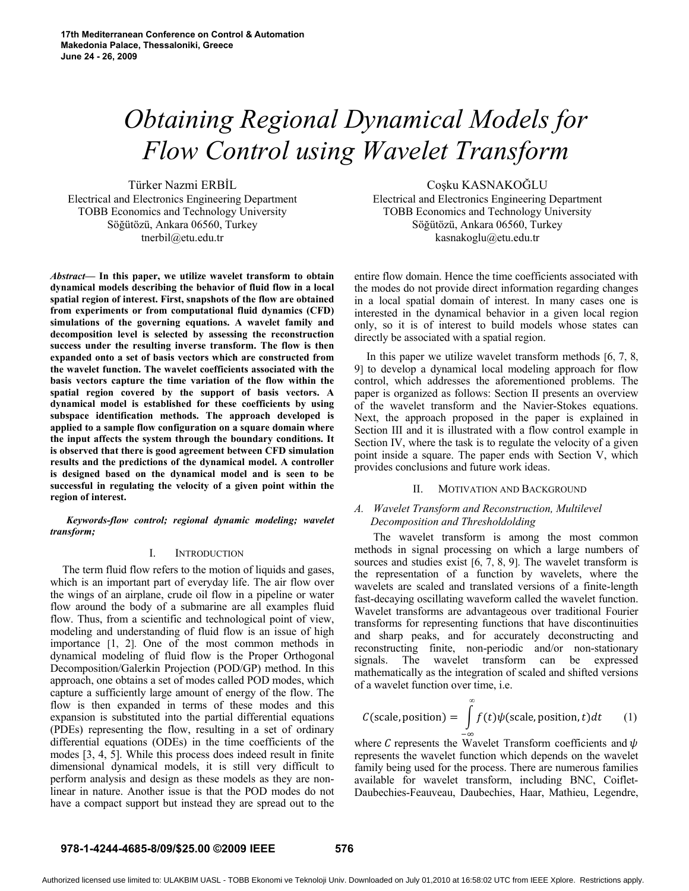# *Obtaining Regional Dynamical Models for Flow Control using Wavelet Transform*

Türker Nazmi ERBİL Electrical and Electronics Engineering Department TOBB Economics and Technology University Söğütözü, Ankara 06560, Turkey tnerbil@etu.edu.tr

*Abstract***— In this paper, we utilize wavelet transform to obtain dynamical models describing the behavior of fluid flow in a local spatial region of interest. First, snapshots of the flow are obtained from experiments or from computational fluid dynamics (CFD) simulations of the governing equations. A wavelet family and decomposition level is selected by assessing the reconstruction success under the resulting inverse transform. The flow is then expanded onto a set of basis vectors which are constructed from the wavelet function. The wavelet coefficients associated with the basis vectors capture the time variation of the flow within the spatial region covered by the support of basis vectors. A dynamical model is established for these coefficients by using subspace identification methods. The approach developed is applied to a sample flow configuration on a square domain where the input affects the system through the boundary conditions. It is observed that there is good agreement between CFD simulation results and the predictions of the dynamical model. A controller is designed based on the dynamical model and is seen to be successful in regulating the velocity of a given point within the region of interest.** 

*Keywords-flow control; regional dynamic modeling; wavelet transform;* 

### I. INTRODUCTION

The term fluid flow refers to the motion of liquids and gases, which is an important part of everyday life. The air flow over the wings of an airplane, crude oil flow in a pipeline or water flow around the body of a submarine are all examples fluid flow. Thus, from a scientific and technological point of view, modeling and understanding of fluid flow is an issue of high importance [1, 2]. One of the most common methods in dynamical modeling of fluid flow is the Proper Orthogonal Decomposition/Galerkin Projection (POD/GP) method. In this approach, one obtains a set of modes called POD modes, which capture a sufficiently large amount of energy of the flow. The flow is then expanded in terms of these modes and this expansion is substituted into the partial differential equations (PDEs) representing the flow, resulting in a set of ordinary differential equations (ODEs) in the time coefficients of the modes [3, 4, 5]. While this process does indeed result in finite dimensional dynamical models, it is still very difficult to perform analysis and design as these models as they are nonlinear in nature. Another issue is that the POD modes do not have a compact support but instead they are spread out to the

Coşku KASNAKOĞLU Electrical and Electronics Engineering Department TOBB Economics and Technology University Söğütözü, Ankara 06560, Turkey kasnakoglu@etu.edu.tr

entire flow domain. Hence the time coefficients associated with the modes do not provide direct information regarding changes in a local spatial domain of interest. In many cases one is interested in the dynamical behavior in a given local region only, so it is of interest to build models whose states can directly be associated with a spatial region.

In this paper we utilize wavelet transform methods [6, 7, 8, 9] to develop a dynamical local modeling approach for flow control, which addresses the aforementioned problems. The paper is organized as follows: Section II presents an overview of the wavelet transform and the Navier-Stokes equations. Next, the approach proposed in the paper is explained in Section III and it is illustrated with a flow control example in Section IV, where the task is to regulate the velocity of a given point inside a square. The paper ends with Section V, which provides conclusions and future work ideas.

## II. MOTIVATION AND BACKGROUND

# *A. Wavelet Transform and Reconstruction, Multilevel Decomposition and Thresholdolding*

 The wavelet transform is among the most common methods in signal processing on which a large numbers of sources and studies exist [6, 7, 8, 9]. The wavelet transform is the representation of a function by wavelets, where the wavelets are scaled and translated versions of a finite-length fast-decaying oscillating waveform called the wavelet function. Wavelet transforms are advantageous over traditional Fourier transforms for representing functions that have discontinuities and sharp peaks, and for accurately deconstructing and reconstructing finite, non-periodic and/or non-stationary signals. The wavelet transform can be expressed mathematically as the integration of scaled and shifted versions of a wavelet function over time, i.e.

$$
C(\text{scale}, \text{position}) = \int_{-\infty}^{\infty} f(t) \psi(\text{scale}, \text{position}, t) dt \qquad (1)
$$

where C represents the Wavelet Transform coefficients and  $\psi$ represents the wavelet function which depends on the wavelet family being used for the process. There are numerous families available for wavelet transform, including BNC, Coiflet-Daubechies-Feauveau, Daubechies, Haar, Mathieu, Legendre,

#### **978-1-4244-4685-8/09/\$25.00 ©2009 IEEE 576**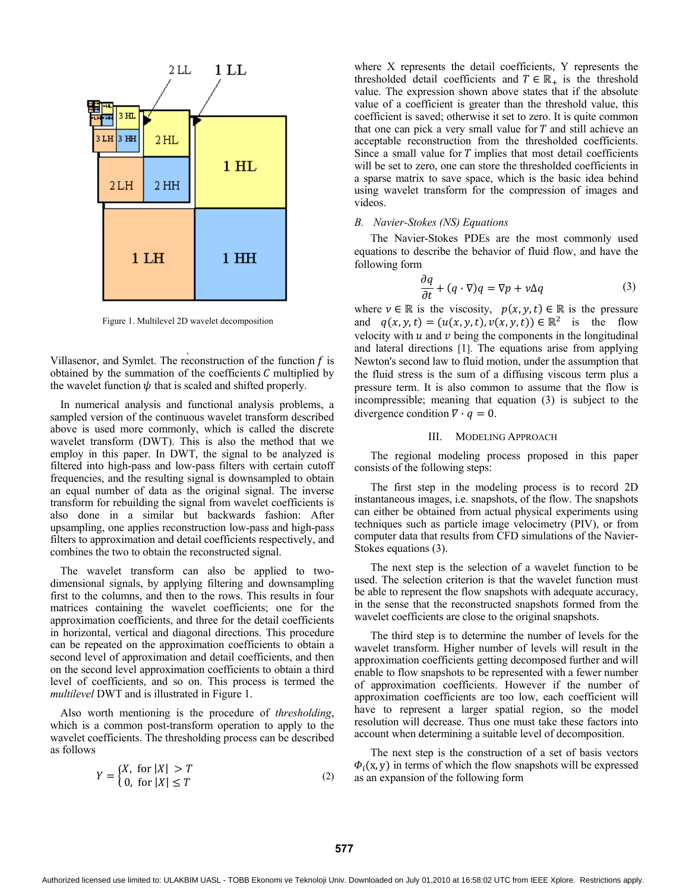

Figure 1. Multilevel 2D wavelet decomposition

Villasenor, and Symlet. The reconstruction of the function  $f$  is obtained by the summation of the coefficients  $C$  multiplied by the wavelet function  $\psi$  that is scaled and shifted properly.

In numerical analysis and functional analysis problems, a sampled version of the continuous wavelet transform described above is used more commonly, which is called the discrete wavelet transform (DWT). This is also the method that we employ in this paper. In DWT, the signal to be analyzed is filtered into high-pass and low-pass filters with certain cutoff frequencies, and the resulting signal is downsampled to obtain an equal number of data as the original signal. The inverse transform for rebuilding the signal from wavelet coefficients is also done in a similar but backwards fashion: After upsampling, one applies reconstruction low-pass and high-pass filters to approximation and detail coefficients respectively, and combines the two to obtain the reconstructed signal.

The wavelet transform can also be applied to twodimensional signals, by applying filtering and downsampling first to the columns, and then to the rows. This results in four matrices containing the wavelet coefficients; one for the approximation coefficients, and three for the detail coefficients in horizontal, vertical and diagonal directions. This procedure can be repeated on the approximation coefficients to obtain a second level of approximation and detail coefficients, and then on the second level approximation coefficients to obtain a third level of coefficients, and so on. This process is termed the *multilevel* DWT and is illustrated in Figure 1.

Also worth mentioning is the procedure of *thresholding*, which is a common post-transform operation to apply to the wavelet coefficients. The thresholding process can be described as follows

$$
Y = \begin{cases} X, & \text{for } |X| > T \\ 0, & \text{for } |X| \le T \end{cases} \tag{2}
$$

where X represents the detail coefficients, Y represents the thresholded detail coefficients and  $T \in \mathbb{R}_+$  is the threshold value. The expression shown above states that if the absolute value of a coefficient is greater than the threshold value, this coefficient is saved; otherwise it set to zero. It is quite common that one can pick a very small value for  $T$  and still achieve an acceptable reconstruction from the thresholded coefficients. Since a small value for  $T$  implies that most detail coefficients will be set to zero, one can store the thresholded coefficients in a sparse matrix to save space, which is the basic idea behind using wavelet transform for the compression of images and videos.

# *B. Navier-Stokes (NS) Equations*

The Navier-Stokes PDEs are the most commonly used equations to describe the behavior of fluid flow, and have the following form

$$
\frac{\partial q}{\partial t} + (q \cdot \nabla)q = \nabla p + v \Delta q \tag{3}
$$

where  $v \in \mathbb{R}$  is the viscosity,  $p(x, y, t) \in \mathbb{R}$  is the pressure and  $q(x, y, t) = (u(x, y, t), v(x, y, t)) \in \mathbb{R}^2$  is the flow velocity with  $u$  and  $v$  being the components in the longitudinal and lateral directions [1]. The equations arise from applying Newton's second law to fluid motion, under the assumption that the fluid stress is the sum of a diffusing viscous term plus a pressure term. It is also common to assume that the flow is incompressible; meaning that equation (3) is subject to the divergence condition  $\nabla \cdot q = 0$ .

#### III. MODELING APPROACH

The regional modeling process proposed in this paper consists of the following steps:

The first step in the modeling process is to record 2D instantaneous images, i.e. snapshots, of the flow. The snapshots can either be obtained from actual physical experiments using techniques such as particle image velocimetry (PIV), or from computer data that results from CFD simulations of the Navier-Stokes equations (3).

The next step is the selection of a wavelet function to be used. The selection criterion is that the wavelet function must be able to represent the flow snapshots with adequate accuracy, in the sense that the reconstructed snapshots formed from the wavelet coefficients are close to the original snapshots.

The third step is to determine the number of levels for the wavelet transform. Higher number of levels will result in the approximation coefficients getting decomposed further and will enable to flow snapshots to be represented with a fewer number of approximation coefficients. However if the number of approximation coefficients are too low, each coefficient will have to represent a larger spatial region, so the model resolution will decrease. Thus one must take these factors into account when determining a suitable level of decomposition.

The next step is the construction of a set of basis vectors  $\Phi_i(x, y)$  in terms of which the flow snapshots will be expressed as an expansion of the following form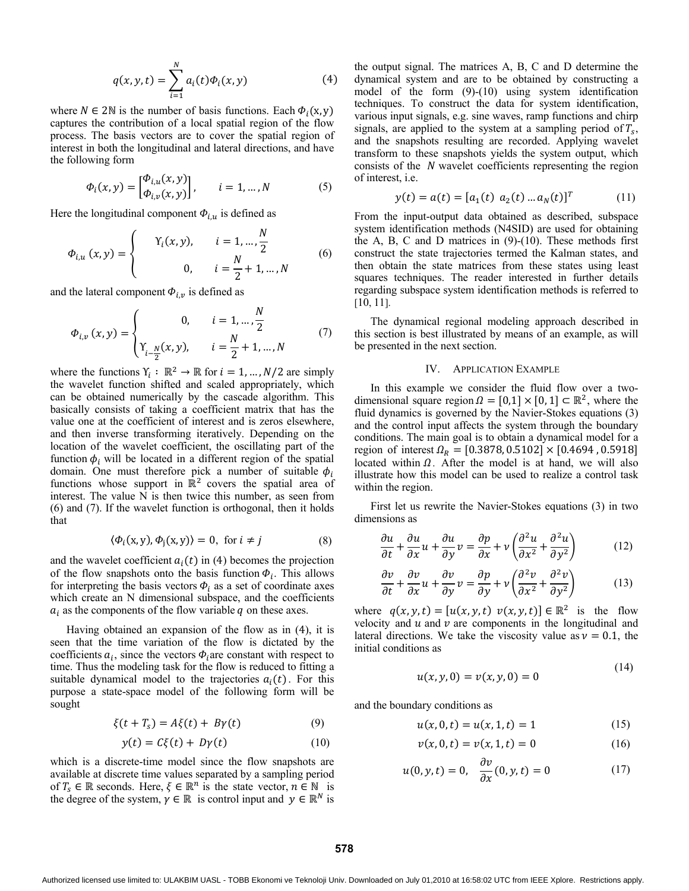$$
q(x, y, t) = \sum_{i=1}^{N} a_i(t) \Phi_i(x, y)
$$
 (4)

where  $N \in 2\mathbb{N}$  is the number of basis functions. Each  $\Phi_i(x, y)$ captures the contribution of a local spatial region of the flow process. The basis vectors are to cover the spatial region of interest in both the longitudinal and lateral directions, and have the following form

$$
\Phi_i(x, y) = \begin{bmatrix} \Phi_{i,u}(x, y) \\ \Phi_{i,v}(x, y) \end{bmatrix}, \qquad i = 1, ..., N
$$
 (5)

Here the longitudinal component  $\Phi_{i,u}$  is defined as

$$
\Phi_{i,u}(x,y) = \begin{cases} \n\gamma_i(x,y), & i = 1, \dots, \frac{N}{2} \\
0, & i = \frac{N}{2} + 1, \dots, N\n\end{cases}
$$
\n(6)

and the lateral component  $\Phi_{i,\nu}$  is defined as

$$
\Phi_{i,v}(x,y) = \begin{cases}\n0, & i = 1, \dots, \frac{N}{2} \\
\gamma_{i-\frac{N}{2}}(x,y), & i = \frac{N}{2} + 1, \dots, N\n\end{cases}
$$
\n(7)

where the functions  $Y_i : \mathbb{R}^2 \to \mathbb{R}$  for  $i = 1, ..., N/2$  are simply the wavelet function shifted and scaled appropriately, which can be obtained numerically by the cascade algorithm. This basically consists of taking a coefficient matrix that has the value one at the coefficient of interest and is zeros elsewhere, and then inverse transforming iteratively. Depending on the location of the wavelet coefficient, the oscillating part of the function  $\phi_i$  will be located in a different region of the spatial domain. One must therefore pick a number of suitable  $\phi_i$ functions whose support in  $\mathbb{R}^2$  covers the spatial area of interest. The value N is then twice this number, as seen from (6) and (7). If the wavelet function is orthogonal, then it holds that

$$
\langle \Phi_i(x, y), \Phi_j(x, y) \rangle = 0, \text{ for } i \neq j \tag{8}
$$

and the wavelet coefficient  $a<sub>i</sub>(t)$  in (4) becomes the projection of the flow snapshots onto the basis function  $\Phi_i$ . This allows for interpreting the basis vectors  $\Phi_i$  as a set of coordinate axes which create an N dimensional subspace, and the coefficients  $a_i$  as the components of the flow variable q on these axes.

Having obtained an expansion of the flow as in (4), it is seen that the time variation of the flow is dictated by the coefficients  $a_i$ , since the vectors  $\Phi_i$  are constant with respect to time. Thus the modeling task for the flow is reduced to fitting a suitable dynamical model to the trajectories  $a_i(t)$ . For this purpose a state-space model of the following form will be sought

$$
\xi(t + T_s) = A\xi(t) + B\gamma(t) \tag{9}
$$

$$
y(t) = C\xi(t) + D\gamma(t) \tag{10}
$$

which is a discrete-time model since the flow snapshots are available at discrete time values separated by a sampling period of  $T_s \in \mathbb{R}$  seconds. Here,  $\xi \in \mathbb{R}^n$  is the state vector,  $n \in \mathbb{N}$  is the degree of the system,  $\gamma \in \mathbb{R}$  is control input and  $\gamma \in \mathbb{R}^N$  is

the output signal. The matrices A, B, C and D determine the dynamical system and are to be obtained by constructing a model of the form (9)-(10) using system identification techniques. To construct the data for system identification, various input signals, e.g. sine waves, ramp functions and chirp signals, are applied to the system at a sampling period of  $T_s$ , and the snapshots resulting are recorded. Applying wavelet transform to these snapshots yields the system output, which consists of the *N* wavelet coefficients representing the region of interest, i.e.

$$
y(t) = a(t) = [a_1(t) \ a_2(t) \dots a_N(t)]^T
$$
 (11)

From the input-output data obtained as described, subspace system identification methods (N4SID) are used for obtaining the A, B, C and D matrices in  $(9)-(10)$ . These methods first construct the state trajectories termed the Kalman states, and then obtain the state matrices from these states using least squares techniques. The reader interested in further details regarding subspace system identification methods is referred to [10, 11].

The dynamical regional modeling approach described in this section is best illustrated by means of an example, as will be presented in the next section.

### IV. APPLICATION EXAMPLE

In this example we consider the fluid flow over a twodimensional square region  $\Omega = [0,1] \times [0,1] \subset \mathbb{R}^2$ , where the fluid dynamics is governed by the Navier-Stokes equations (3) and the control input affects the system through the boundary conditions. The main goal is to obtain a dynamical model for a region of interest  $\Omega_R = [0.3878, 0.5102] \times [0.4694, 0.5918]$ located within  $\Omega$ . After the model is at hand, we will also illustrate how this model can be used to realize a control task within the region.

First let us rewrite the Navier-Stokes equations (3) in two dimensions as

$$
\frac{\partial u}{\partial t} + \frac{\partial u}{\partial x} u + \frac{\partial u}{\partial y} v = \frac{\partial p}{\partial x} + v \left( \frac{\partial^2 u}{\partial x^2} + \frac{\partial^2 u}{\partial y^2} \right) \tag{12}
$$

$$
\frac{\partial v}{\partial t} + \frac{\partial v}{\partial x} u + \frac{\partial v}{\partial y} v = \frac{\partial p}{\partial y} + v \left( \frac{\partial^2 v}{\partial x^2} + \frac{\partial^2 v}{\partial y^2} \right) \tag{13}
$$

where  $q(x, y, t) = [u(x, y, t) \ v(x, y, t)] \in \mathbb{R}^2$  is the flow velocity and  $u$  and  $v$  are components in the longitudinal and lateral directions. We take the viscosity value as  $v = 0.1$ , the initial conditions as

$$
u(x, y, 0) = v(x, y, 0) = 0
$$

 $(14)$ 

and the boundary conditions as

$$
u(x, 0, t) = u(x, 1, t) = 1 \tag{15}
$$

$$
v(x, 0, t) = v(x, 1, t) = 0 \tag{16}
$$

$$
u(0, y, t) = 0, \quad \frac{\partial v}{\partial x}(0, y, t) = 0 \tag{17}
$$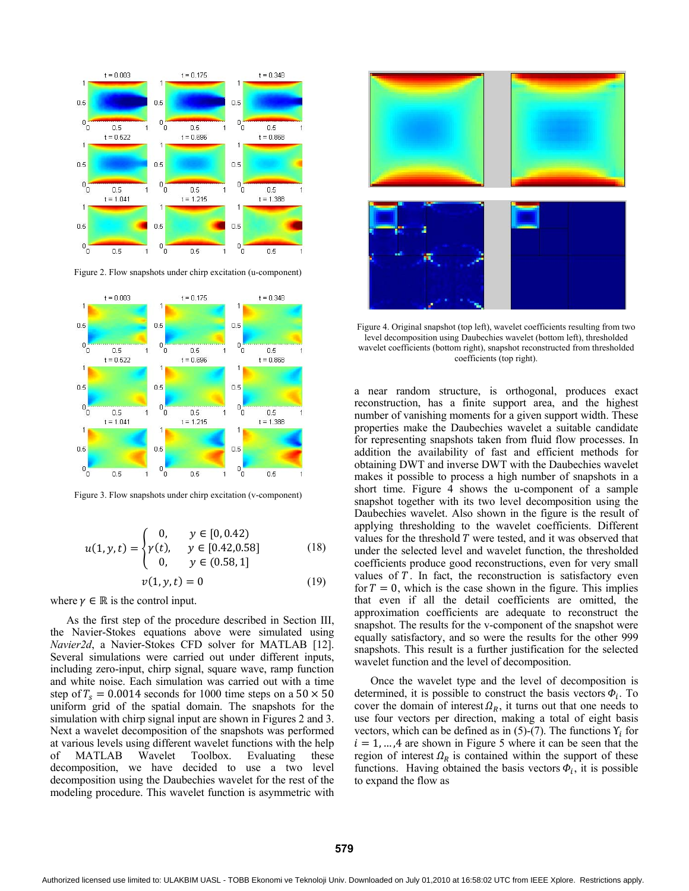

Figure 2. Flow snapshots under chirp excitation (u-component)



Figure 3. Flow snapshots under chirp excitation (v-component)

$$
u(1, y, t) = \begin{cases} 0, & y \in [0, 0.42) \\ \gamma(t), & y \in [0.42, 0.58] \\ 0, & y \in (0.58, 1] \end{cases}
$$
(18)

$$
v(1, y, t) = 0 \tag{19}
$$

where  $\gamma \in \mathbb{R}$  is the control input.

As the first step of the procedure described in Section III, the Navier-Stokes equations above were simulated using *Navier2d*, a Navier-Stokes CFD solver for MATLAB [12]. Several simulations were carried out under different inputs, including zero-input, chirp signal, square wave, ramp function and white noise. Each simulation was carried out with a time step of  $T_s = 0.0014$  seconds for 1000 time steps on a 50  $\times$  50 uniform grid of the spatial domain. The snapshots for the simulation with chirp signal input are shown in Figures 2 and 3. Next a wavelet decomposition of the snapshots was performed at various levels using different wavelet functions with the help of MATLAB Wavelet Toolbox. Evaluating these decomposition, we have decided to use a two level decomposition using the Daubechies wavelet for the rest of the modeling procedure. This wavelet function is asymmetric with



Figure 4. Original snapshot (top left), wavelet coefficients resulting from two level decomposition using Daubechies wavelet (bottom left), thresholded wavelet coefficients (bottom right), snapshot reconstructed from thresholded coefficients (top right).

a near random structure, is orthogonal, produces exact reconstruction, has a finite support area, and the highest number of vanishing moments for a given support width. These properties make the Daubechies wavelet a suitable candidate for representing snapshots taken from fluid flow processes. In addition the availability of fast and efficient methods for obtaining DWT and inverse DWT with the Daubechies wavelet makes it possible to process a high number of snapshots in a short time. Figure 4 shows the u-component of a sample snapshot together with its two level decomposition using the Daubechies wavelet. Also shown in the figure is the result of applying thresholding to the wavelet coefficients. Different values for the threshold  $T$  were tested, and it was observed that under the selected level and wavelet function, the thresholded coefficients produce good reconstructions, even for very small values of  $T$ . In fact, the reconstruction is satisfactory even for  $T = 0$ , which is the case shown in the figure. This implies that even if all the detail coefficients are omitted, the approximation coefficients are adequate to reconstruct the snapshot. The results for the v-component of the snapshot were equally satisfactory, and so were the results for the other 999 snapshots. This result is a further justification for the selected wavelet function and the level of decomposition.

Once the wavelet type and the level of decomposition is determined, it is possible to construct the basis vectors  $\Phi_i$ . To cover the domain of interest  $\Omega_R$ , it turns out that one needs to use four vectors per direction, making a total of eight basis vectors, which can be defined as in (5)-(7). The functions  $Y_i$  for  $i = 1, \dots, 4$  are shown in Figure 5 where it can be seen that the region of interest  $\Omega_R$  is contained within the support of these functions. Having obtained the basis vectors  $\Phi_i$ , it is possible to expand the flow as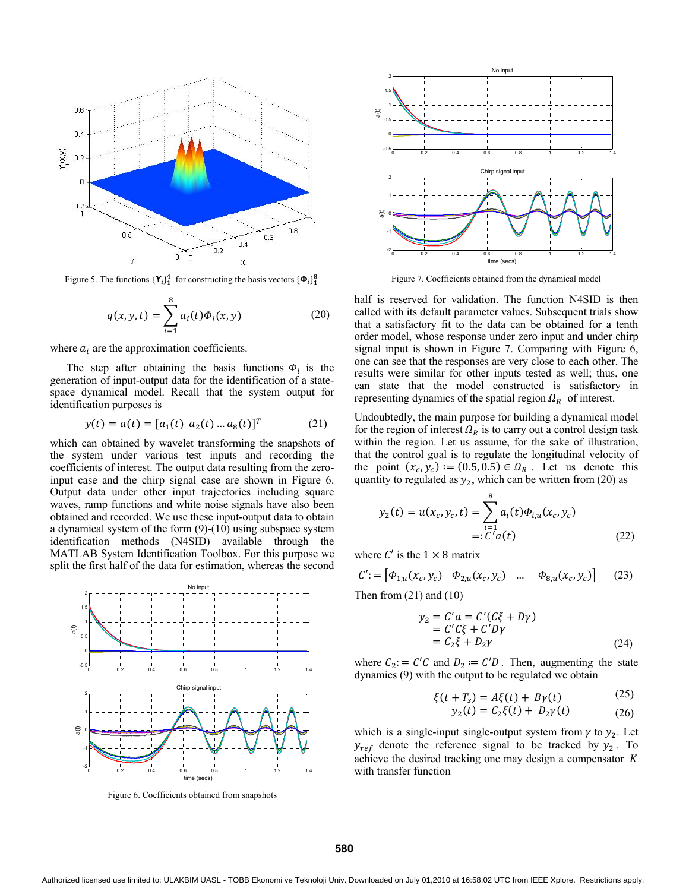

Figure 5. The functions  $\{Y_t\}_{t=1}^4$  for constructing the basis vectors  $\{\Phi_t\}_{t=1}^8$ 

$$
q(x, y, t) = \sum_{i=1}^{8} a_i(t) \Phi_i(x, y)
$$
 (20)

where  $a_i$  are the approximation coefficients.

The step after obtaining the basis functions  $\Phi_i$  is the generation of input-output data for the identification of a statespace dynamical model. Recall that the system output for identification purposes is

$$
y(t) = a(t) = [a_1(t) \ a_2(t) \dots a_8(t)]^T
$$
 (21)

which can obtained by wavelet transforming the snapshots of the system under various test inputs and recording the coefficients of interest. The output data resulting from the zeroinput case and the chirp signal case are shown in Figure 6. Output data under other input trajectories including square waves, ramp functions and white noise signals have also been obtained and recorded. We use these input-output data to obtain a dynamical system of the form  $(9)$ - $(10)$  using subspace system identification methods (N4SID) available through the MATLAB System Identification Toolbox. For this purpose we split the first half of the data for estimation, whereas the second



Figure 6. Coefficients obtained from snapshots



Figure 7. Coefficients obtained from the dynamical model

half is reserved for validation. The function N4SID is then called with its default parameter values. Subsequent trials show that a satisfactory fit to the data can be obtained for a tenth order model, whose response under zero input and under chirp signal input is shown in Figure 7. Comparing with Figure 6, one can see that the responses are very close to each other. The results were similar for other inputs tested as well; thus, one can state that the model constructed is satisfactory in representing dynamics of the spatial region  $\Omega_R$  of interest.

Undoubtedly, the main purpose for building a dynamical model for the region of interest  $\Omega_R$  is to carry out a control design task within the region. Let us assume, for the sake of illustration, that the control goal is to regulate the longitudinal velocity of the point  $(x_c, y_c) := (0.5, 0.5) \in \Omega_R$ . Let us denote this quantity to regulated as  $y_2$ , which can be written from (20) as

$$
y_2(t) = u(x_c, y_c, t) = \sum_{i=1}^{8} a_i(t) \Phi_{i,u}(x_c, y_c)
$$
  
=:  $C' a(t)$  (22)

where C' is the  $1 \times 8$  matrix

$$
C' := [\Phi_{1,u}(x_c, y_c) \quad \Phi_{2,u}(x_c, y_c) \quad \dots \quad \Phi_{8,u}(x_c, y_c)] \tag{23}
$$

Then from  $(21)$  and  $(10)$ 

$$
y_2 = C'a = C'(C\xi + D\gamma)
$$
  
= C'C\xi + C'D\gamma  
= C\_2\xi + D\_2\gamma  
(24)

where  $C_2$ : =  $C'C$  and  $D_2 := C'D$ . Then, augmenting the state dynamics (9) with the output to be regulated we obtain

$$
\xi(t + T_s) = A\xi(t) + B\gamma(t) \tag{25}
$$

$$
y_2(t) = C_2 \xi(t) + D_2 \gamma(t) \tag{26}
$$

which is a single-input single-output system from  $\gamma$  to  $y_2$ . Let  $y_{ref}$  denote the reference signal to be tracked by  $y_2$ . To achieve the desired tracking one may design a compensator K with transfer function

580